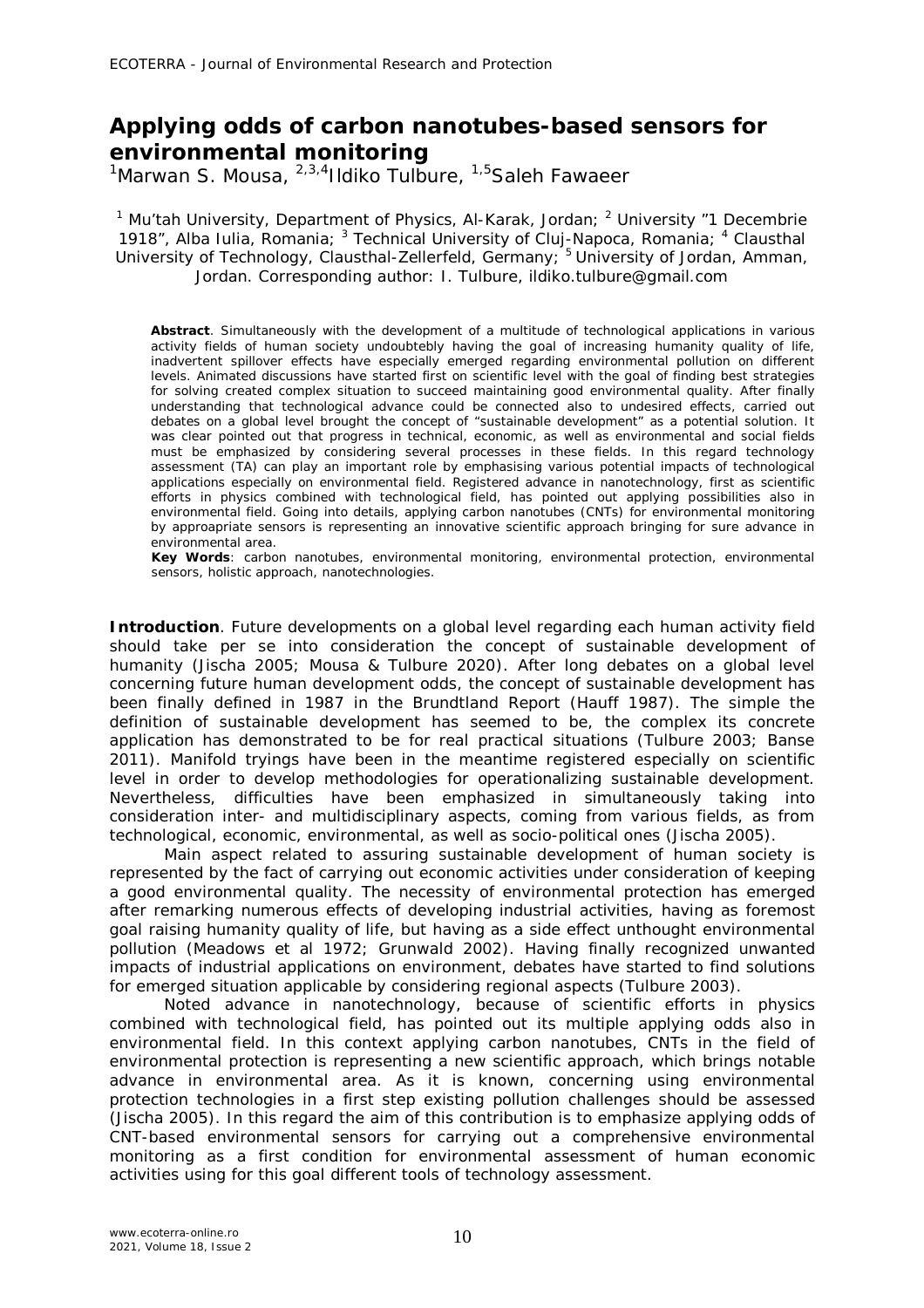## **Applying odds of carbon nanotubes-based sensors for environmental monitoring**

<sup>1</sup>Marwan S. Mousa, <sup>2,3,4</sup>Ildiko Tulbure, <sup>1,5</sup>Saleh Fawaeer

<sup>1</sup> Mu'tah University, Department of Physics, Al-Karak, Jordan; <sup>2</sup> University "1 Decembrie 1918", Alba Iulia, Romania; <sup>3</sup> Technical University of Cluj-Napoca, Romania; <sup>4</sup> Clausthal University of Technology, Clausthal-Zellerfeld, Germany; <sup>5</sup> University of Jordan, Amman, Jordan. Corresponding author: I. Tulbure, ildiko.tulbure@gmail.com

**Abstract**. Simultaneously with the development of a multitude of technological applications in various activity fields of human society undoubtebly having the goal of increasing humanity quality of life, inadvertent spillover effects have especially emerged regarding environmental pollution on different levels. Animated discussions have started first on scientific level with the goal of finding best strategies for solving created complex situation to succeed maintaining good environmental quality. After finally understanding that technological advance could be connected also to undesired effects, carried out debates on a global level brought the concept of "sustainable development" as a potential solution. It was clear pointed out that progress in technical, economic, as well as environmental and social fields must be emphasized by considering several processes in these fields. In this regard technology assessment (TA) can play an important role by emphasising various potential impacts of technological applications especially on environmental field. Registered advance in nanotechnology, first as scientific efforts in physics combined with technological field, has pointed out applying possibilities also in environmental field. Going into details, applying carbon nanotubes (CNTs) for environmental monitoring by approapriate sensors is representing an innovative scientific approach bringing for sure advance in environmental area.

**Key Words**: carbon nanotubes, environmental monitoring, environmental protection, environmental sensors, holistic approach, nanotechnologies.

**Introduction**. Future developments on a global level regarding each human activity field should take per se into consideration the concept of sustainable development of humanity (Jischa 2005; Mousa & Tulbure 2020). After long debates on a global level concerning future human development odds, the concept of sustainable development has been finally defined in 1987 in the Brundtland Report (Hauff 1987). The simple the definition of sustainable development has seemed to be, the complex its concrete application has demonstrated to be for real practical situations (Tulbure 2003; Banse 2011). Manifold tryings have been in the meantime registered especially on scientific level in order to develop methodologies for operationalizing sustainable development. Nevertheless, difficulties have been emphasized in simultaneously taking into consideration inter- and multidisciplinary aspects, coming from various fields, as from technological, economic, environmental, as well as socio-political ones (Jischa 2005).

Main aspect related to assuring sustainable development of human society is represented by the fact of carrying out economic activities under consideration of keeping a good environmental quality. The necessity of environmental protection has emerged after remarking numerous effects of developing industrial activities, having as foremost goal raising humanity quality of life, but having as a side effect unthought environmental pollution (Meadows et al 1972; Grunwald 2002). Having finally recognized unwanted impacts of industrial applications on environment, debates have started to find solutions for emerged situation applicable by considering regional aspects (Tulbure 2003).

Noted advance in nanotechnology, because of scientific efforts in physics combined with technological field, has pointed out its multiple applying odds also in environmental field. In this context applying carbon nanotubes, CNTs in the field of environmental protection is representing a new scientific approach, which brings notable advance in environmental area. As it is known, concerning using environmental protection technologies in a first step existing pollution challenges should be assessed (Jischa 2005). In this regard the aim of this contribution is to emphasize applying odds of CNT-based environmental sensors for carrying out a comprehensive environmental monitoring as a first condition for environmental assessment of human economic activities using for this goal different tools of technology assessment.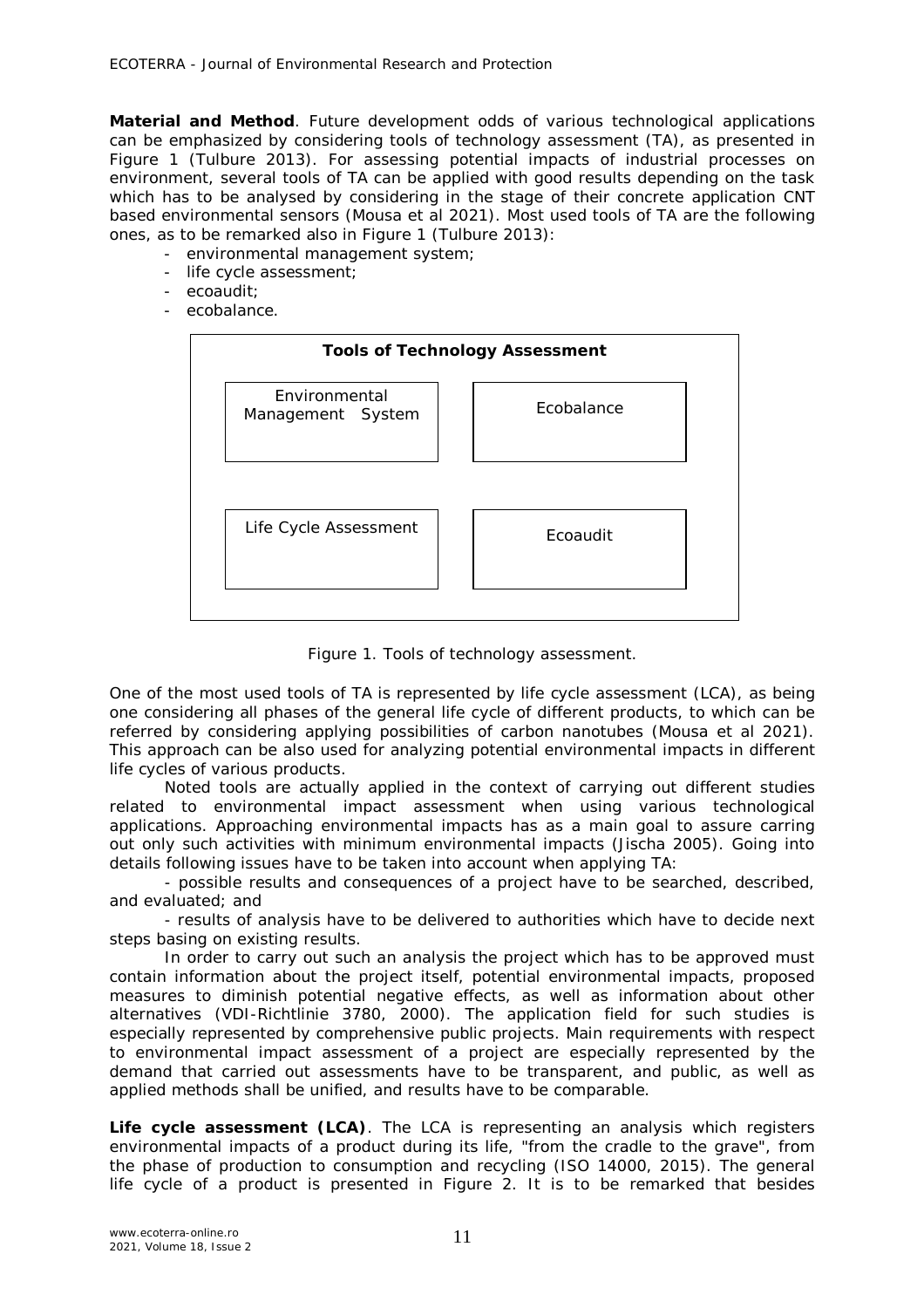**Material and Method**. Future development odds of various technological applications can be emphasized by considering tools of technology assessment (TA), as presented in Figure 1 (Tulbure 2013). For assessing potential impacts of industrial processes on environment, several tools of TA can be applied with good results depending on the task which has to be analysed by considering in the stage of their concrete application CNT based environmental sensors (Mousa et al 2021). Most used tools of TA are the following ones, as to be remarked also in Figure 1 (Tulbure 2013):

- environmental management system;
- life cycle assessment;
- ecoaudit;
- ecobalance.



Figure 1. Tools of technology assessment.

One of the most used tools of TA is represented by life cycle assessment (LCA), as being one considering all phases of the general life cycle of different products, to which can be referred by considering applying possibilities of carbon nanotubes (Mousa et al 2021). This approach can be also used for analyzing potential environmental impacts in different life cycles of various products.

Noted tools are actually applied in the context of carrying out different studies related to environmental impact assessment when using various technological applications. Approaching environmental impacts has as a main goal to assure carring out only such activities with minimum environmental impacts (Jischa 2005). Going into details following issues have to be taken into account when applying TA:

- possible results and consequences of a project have to be searched, described, and evaluated; and

- results of analysis have to be delivered to authorities which have to decide next steps basing on existing results.

In order to carry out such an analysis the project which has to be approved must contain information about the project itself, potential environmental impacts, proposed measures to diminish potential negative effects, as well as information about other alternatives (VDI-Richtlinie 3780, 2000). The application field for such studies is especially represented by comprehensive public projects. Main requirements with respect to environmental impact assessment of a project are especially represented by the demand that carried out assessments have to be transparent, and public, as well as applied methods shall be unified, and results have to be comparable.

*Life cycle assessment (LCA).* The LCA is representing an analysis which registers environmental impacts of a product during its life, "from the cradle to the grave", from the phase of production to consumption and recycling (ISO 14000, 2015). The general life cycle of a product is presented in Figure 2. It is to be remarked that besides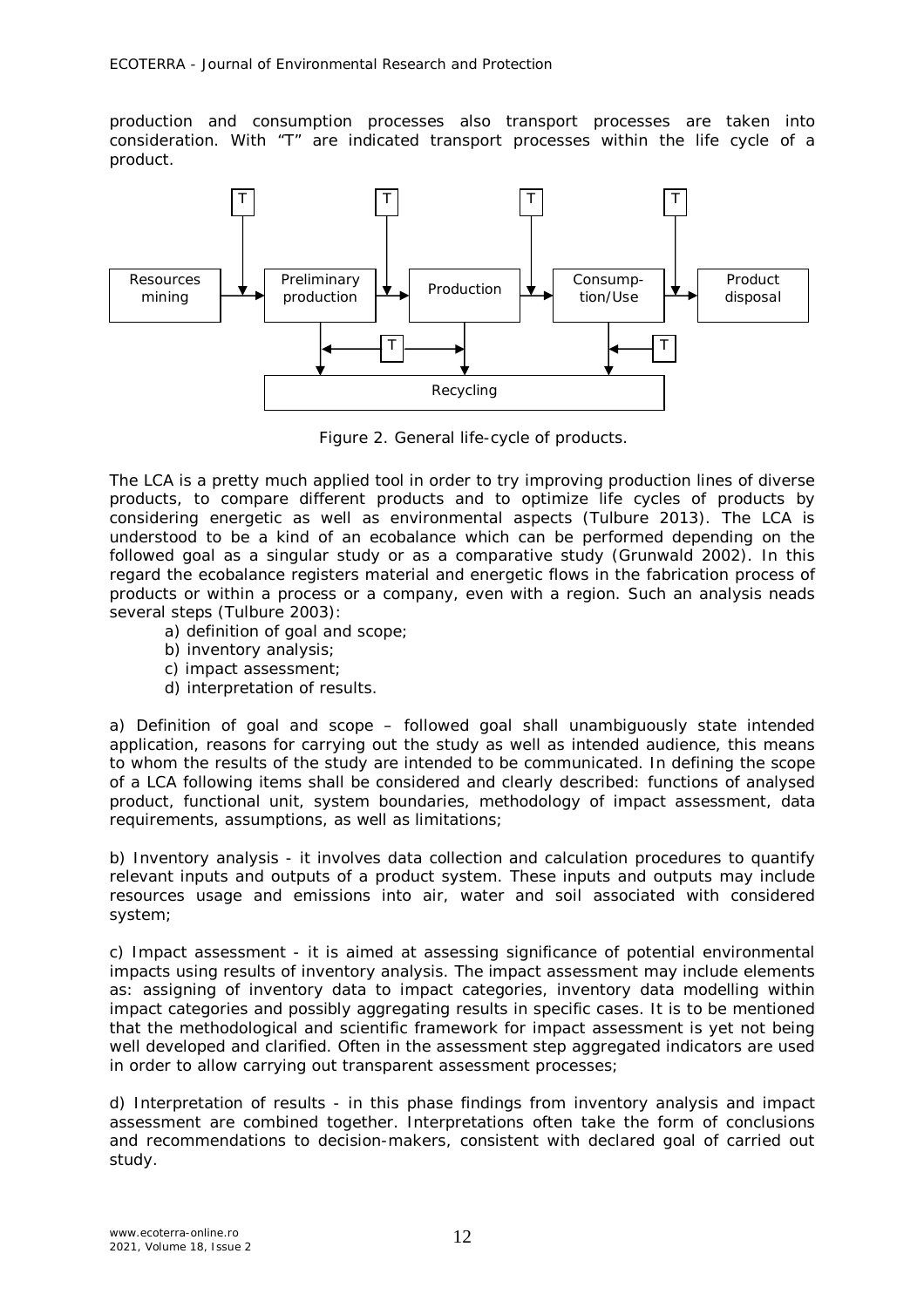production and consumption processes also transport processes are taken into consideration. With "T" are indicated transport processes within the life cycle of a product.



Figure 2. General life-cycle of products.

The LCA is a pretty much applied tool in order to try improving production lines of diverse products, to compare different products and to optimize life cycles of products by considering energetic as well as environmental aspects (Tulbure 2013). The LCA is understood to be a kind of an ecobalance which can be performed depending on the followed goal as a singular study or as a comparative study (Grunwald 2002). In this regard the ecobalance registers material and energetic flows in the fabrication process of products or within a process or a company, even with a region. Such an analysis neads several steps (Tulbure 2003):

- a) definition of goal and scope;
- b) inventory analysis;
- c) impact assessment;
- d) interpretation of results.

*a) Definition of goal and scope* – followed goal shall unambiguously state intended application, reasons for carrying out the study as well as intended audience, this means to whom the results of the study are intended to be communicated. In defining the scope of a LCA following items shall be considered and clearly described: functions of analysed product, functional unit, system boundaries, methodology of impact assessment, data requirements, assumptions, as well as limitations;

*b) Inventory analysis* - it involves data collection and calculation procedures to quantify relevant inputs and outputs of a product system. These inputs and outputs may include resources usage and emissions into air, water and soil associated with considered system;

*c) Impact assessment* - it is aimed at assessing significance of potential environmental impacts using results of inventory analysis. The impact assessment may include elements as: assigning of inventory data to impact categories, inventory data modelling within impact categories and possibly aggregating results in specific cases. It is to be mentioned that the methodological and scientific framework for impact assessment is yet not being well developed and clarified. Often in the assessment step aggregated indicators are used in order to allow carrying out transparent assessment processes;

*d) Interpretation of results* - in this phase findings from inventory analysis and impact assessment are combined together. Interpretations often take the form of conclusions and recommendations to decision-makers, consistent with declared goal of carried out study.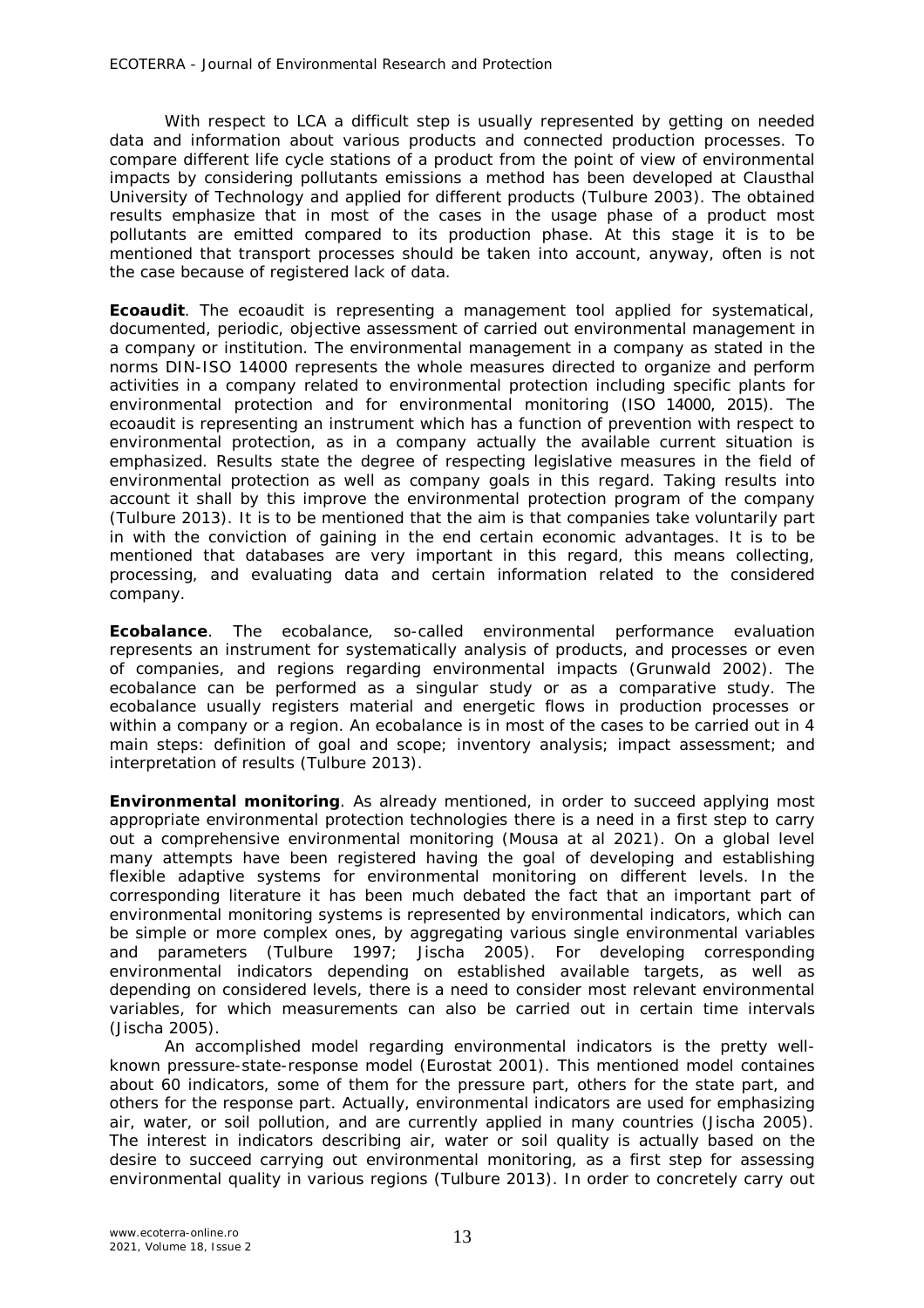With respect to LCA a difficult step is usually represented by getting on needed data and information about various products and connected production processes. To compare different life cycle stations of a product from the point of view of environmental impacts by considering pollutants emissions a method has been developed at Clausthal University of Technology and applied for different products (Tulbure 2003). The obtained results emphasize that in most of the cases in the usage phase of a product most pollutants are emitted compared to its production phase. At this stage it is to be mentioned that transport processes should be taken into account, anyway, often is not the case because of registered lack of data.

*Ecoaudit.* The ecoaudit is representing a management tool applied for systematical, documented, periodic, objective assessment of carried out environmental management in a company or institution. The environmental management in a company as stated in the norms DIN-ISO 14000 represents the whole measures directed to organize and perform activities in a company related to environmental protection including specific plants for environmental protection and for environmental monitoring (ISO 14000, 2015). The ecoaudit is representing an instrument which has a function of prevention with respect to environmental protection, as in a company actually the available current situation is emphasized. Results state the degree of respecting legislative measures in the field of environmental protection as well as company goals in this regard. Taking results into account it shall by this improve the environmental protection program of the company (Tulbure 2013). It is to be mentioned that the aim is that companies take voluntarily part in with the conviction of gaining in the end certain economic advantages. It is to be mentioned that databases are very important in this regard, this means collecting, processing, and evaluating data and certain information related to the considered company.

*Ecobalance.* The ecobalance, so-called environmental performance evaluation represents an instrument for systematically analysis of products, and processes or even of companies, and regions regarding environmental impacts (Grunwald 2002). The ecobalance can be performed as a singular study or as a comparative study. The ecobalance usually registers material and energetic flows in production processes or within a company or a region. An ecobalance is in most of the cases to be carried out in 4 main steps: definition of goal and scope; inventory analysis; impact assessment; and interpretation of results (Tulbure 2013).

*Environmental monitoring.* As already mentioned, in order to succeed applying most appropriate environmental protection technologies there is a need in a first step to carry out a comprehensive environmental monitoring (Mousa at al 2021). On a global level many attempts have been registered having the goal of developing and establishing flexible adaptive systems for environmental monitoring on different levels. In the corresponding literature it has been much debated the fact that an important part of environmental monitoring systems is represented by environmental indicators, which can be simple or more complex ones, by aggregating various single environmental variables and parameters (Tulbure 1997; Jischa 2005). For developing corresponding and parameters (Tulbure 1997; Jischa 2005). For developing corresponding environmental indicators depending on established available targets, as well as depending on considered levels, there is a need to consider most relevant environmental variables, for which measurements can also be carried out in certain time intervals (Jischa 2005).

An accomplished model regarding environmental indicators is the pretty wellknown *pressure-state-response* model (Eurostat 2001). This mentioned model containes about 60 indicators, some of them for the pressure part, others for the state part, and others for the response part. Actually, environmental indicators are used for emphasizing air, water, or soil pollution, and are currently applied in many countries (Jischa 2005). The interest in indicators describing air, water or soil quality is actually based on the desire to succeed carrying out environmental monitoring, as a first step for assessing environmental quality in various regions (Tulbure 2013). In order to concretely carry out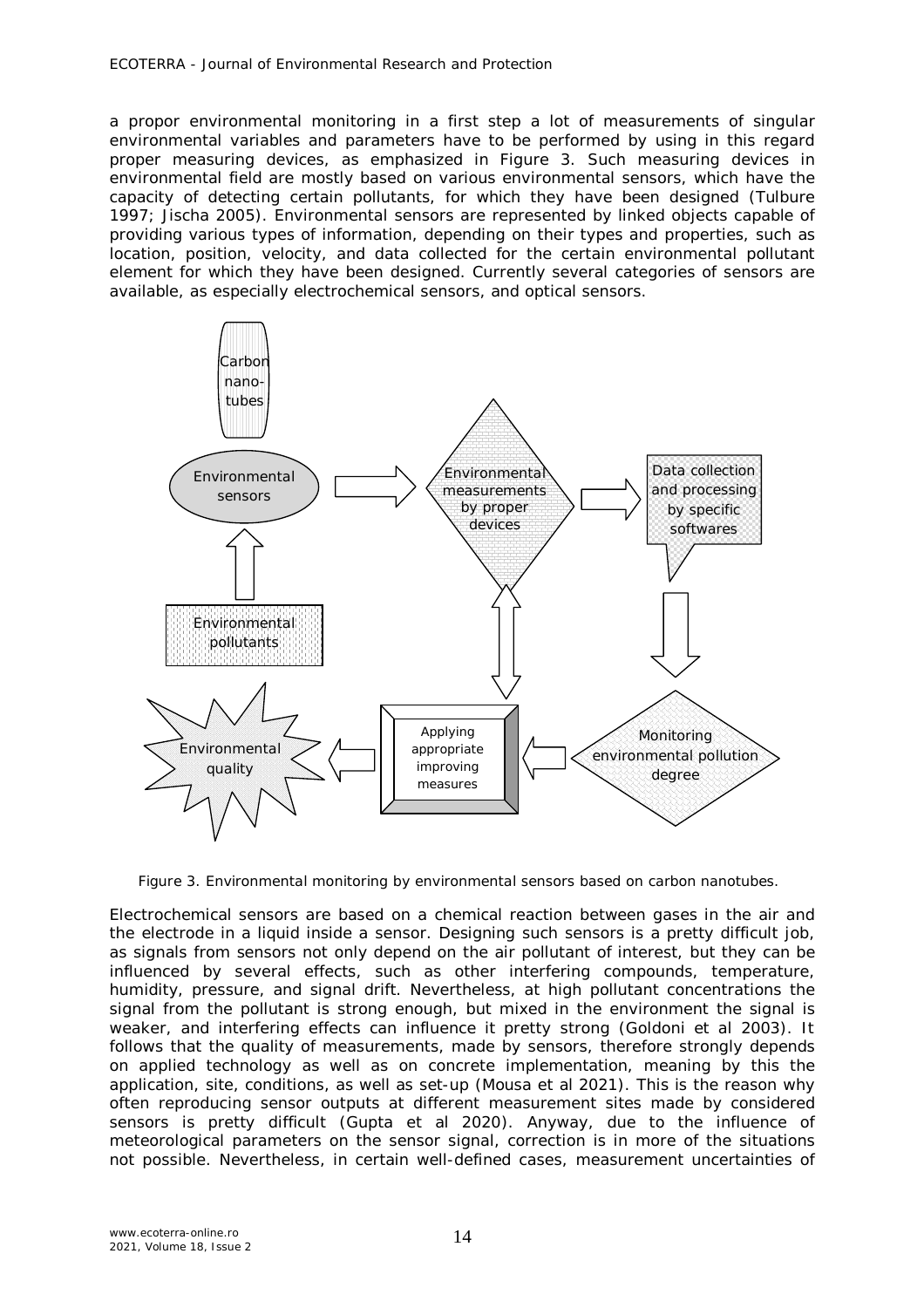a propor environmental monitoring in a first step a lot of measurements of singular environmental variables and parameters have to be performed by using in this regard proper measuring devices, as emphasized in Figure 3. Such measuring devices in environmental field are mostly based on various environmental sensors, which have the capacity of detecting certain pollutants, for which they have been designed (Tulbure 1997; Jischa 2005). Environmental sensors are represented by linked objects capable of providing various types of information, depending on their types and properties, such as location, position, velocity, and data collected for the certain environmental pollutant element for which they have been designed. Currently several categories of sensors are available, as especially electrochemical sensors, and optical sensors.



Figure 3. Environmental monitoring by environmental sensors based on carbon nanotubes.

Electrochemical sensors are based on a chemical reaction between gases in the air and the electrode in a liquid inside a sensor. Designing such sensors is a pretty difficult job, as signals from sensors not only depend on the air pollutant of interest, but they can be influenced by several effects, such as other interfering compounds, temperature, humidity, pressure, and signal drift. Nevertheless, at high pollutant concentrations the signal from the pollutant is strong enough, but mixed in the environment the signal is weaker, and interfering effects can influence it pretty strong (Goldoni et al 2003). It follows that the quality of measurements, made by sensors, therefore strongly depends on applied technology as well as on concrete implementation, meaning by this the application, site, conditions, as well as set-up (Mousa et al 2021). This is the reason why often reproducing sensor outputs at different measurement sites made by considered sensors is pretty difficult (Gupta et al 2020). Anyway, due to the influence of meteorological parameters on the sensor signal, correction is in more of the situations not possible. Nevertheless, in certain well-defined cases, measurement uncertainties of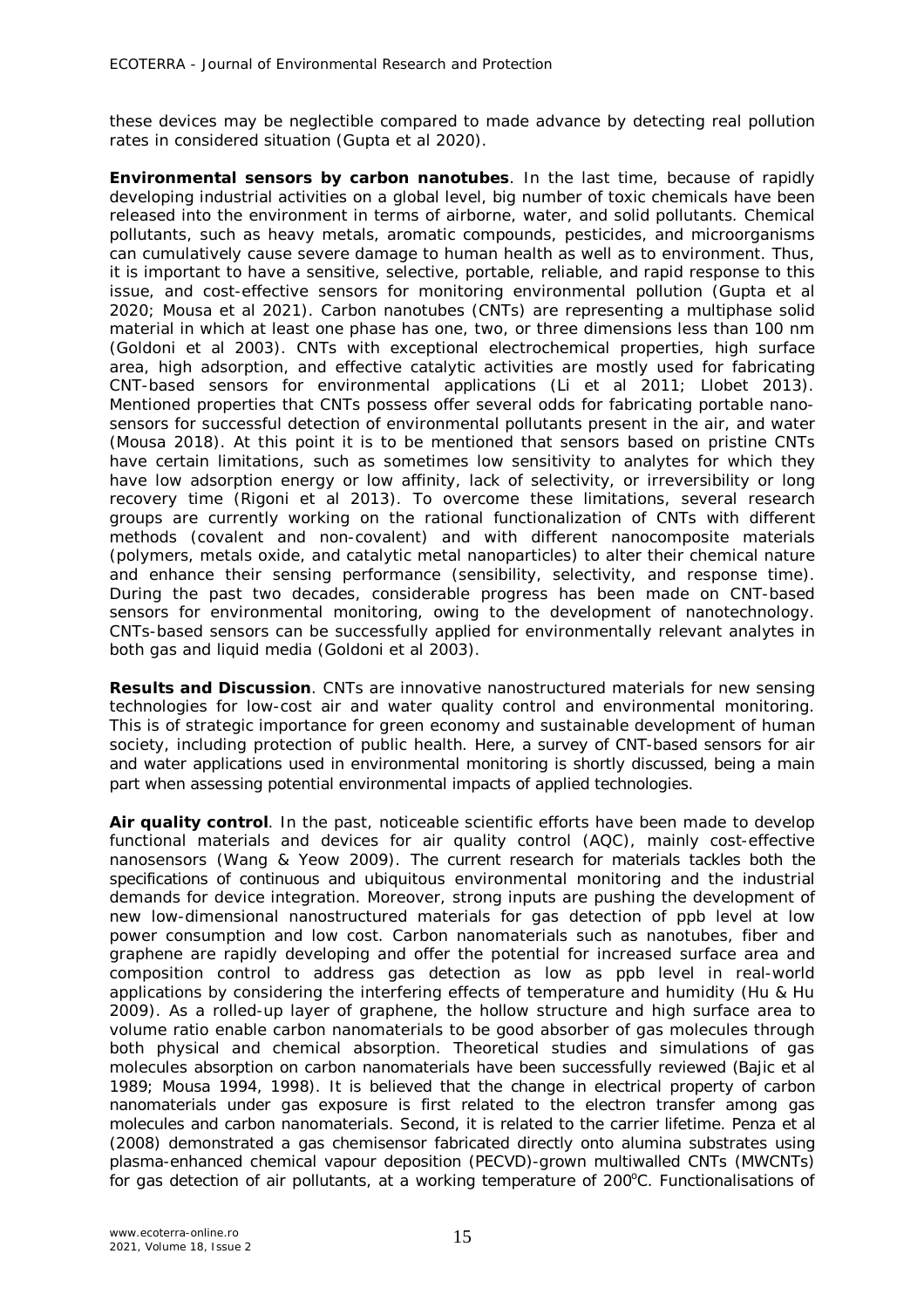these devices may be neglectible compared to made advance by detecting real pollution rates in considered situation (Gupta et al 2020).

*Environmental sensors by carbon nanotubes.* In the last time, because of rapidly developing industrial activities on a global level, big number of toxic chemicals have been released into the environment in terms of airborne, water, and solid pollutants. Chemical pollutants, such as heavy metals, aromatic compounds, pesticides, and microorganisms can cumulatively cause severe damage to human health as well as to environment. Thus, it is important to have a sensitive, selective, portable, reliable, and rapid response to this issue, and cost-effective sensors for monitoring environmental pollution (Gupta et al 2020; Mousa et al 2021). Carbon nanotubes (CNTs) are representing a multiphase solid material in which at least one phase has one, two, or three dimensions less than 100 nm (Goldoni et al 2003). CNTs with exceptional electrochemical properties, high surface area, high adsorption, and effective catalytic activities are mostly used for fabricating CNT-based sensors for environmental applications (Li et al 2011; Llobet 2013). Mentioned properties that CNTs possess offer several odds for fabricating portable nanosensors for successful detection of environmental pollutants present in the air, and water (Mousa 2018). At this point it is to be mentioned that sensors based on pristine CNTs have certain limitations, such as sometimes low sensitivity to analytes for which they have low adsorption energy or low affinity, lack of selectivity, or irreversibility or long recovery time (Rigoni et al 2013). To overcome these limitations, several research groups are currently working on the rational functionalization of CNTs with different methods (covalent and non-covalent) and with different nanocomposite materials (polymers, metals oxide, and catalytic metal nanoparticles) to alter their chemical nature and enhance their sensing performance (sensibility, selectivity, and response time). During the past two decades, considerable progress has been made on CNT-based sensors for environmental monitoring, owing to the development of nanotechnology. CNTs-based sensors can be successfully applied for environmentally relevant analytes in both gas and liquid media (Goldoni et al 2003).

**Results and Discussion**. CNTs are innovative nanostructured materials for new sensing technologies for low-cost air and water quality control and environmental monitoring. This is of strategic importance for green economy and sustainable development of human society, including protection of public health. Here, a survey of CNT-based sensors for air and water applications used in environmental monitoring is shortly discussed, being a main part when assessing potential environmental impacts of applied technologies.

Air quality control. In the past, noticeable scientific efforts have been made to develop functional materials and devices for air quality control (AQC), mainly cost-effective nanosensors (Wang & Yeow 2009). The current research for materials tackles both the specifications of continuous and ubiquitous environmental monitoring and the industrial demands for device integration. Moreover, strong inputs are pushing the development of new low-dimensional nanostructured materials for gas detection of ppb level at low power consumption and low cost. Carbon nanomaterials such as nanotubes, fiber and graphene are rapidly developing and offer the potential for increased surface area and composition control to address gas detection as low as ppb level in real-world applications by considering the interfering effects of temperature and humidity (Hu & Hu 2009). As a rolled-up layer of graphene, the hollow structure and high surface area to volume ratio enable carbon nanomaterials to be good absorber of gas molecules through both physical and chemical absorption. Theoretical studies and simulations of gas molecules absorption on carbon nanomaterials have been successfully reviewed (Bajic et al 1989; Mousa 1994, 1998). It is believed that the change in electrical property of carbon nanomaterials under gas exposure is first related to the electron transfer among gas molecules and carbon nanomaterials. Second, it is related to the carrier lifetime. Penza et al (2008) demonstrated a gas chemisensor fabricated directly onto alumina substrates using plasma-enhanced chemical vapour deposition (PECVD)-grown multiwalled CNTs (MWCNTs) for gas detection of air pollutants, at a working temperature of  $200^{\circ}$ C. Functionalisations of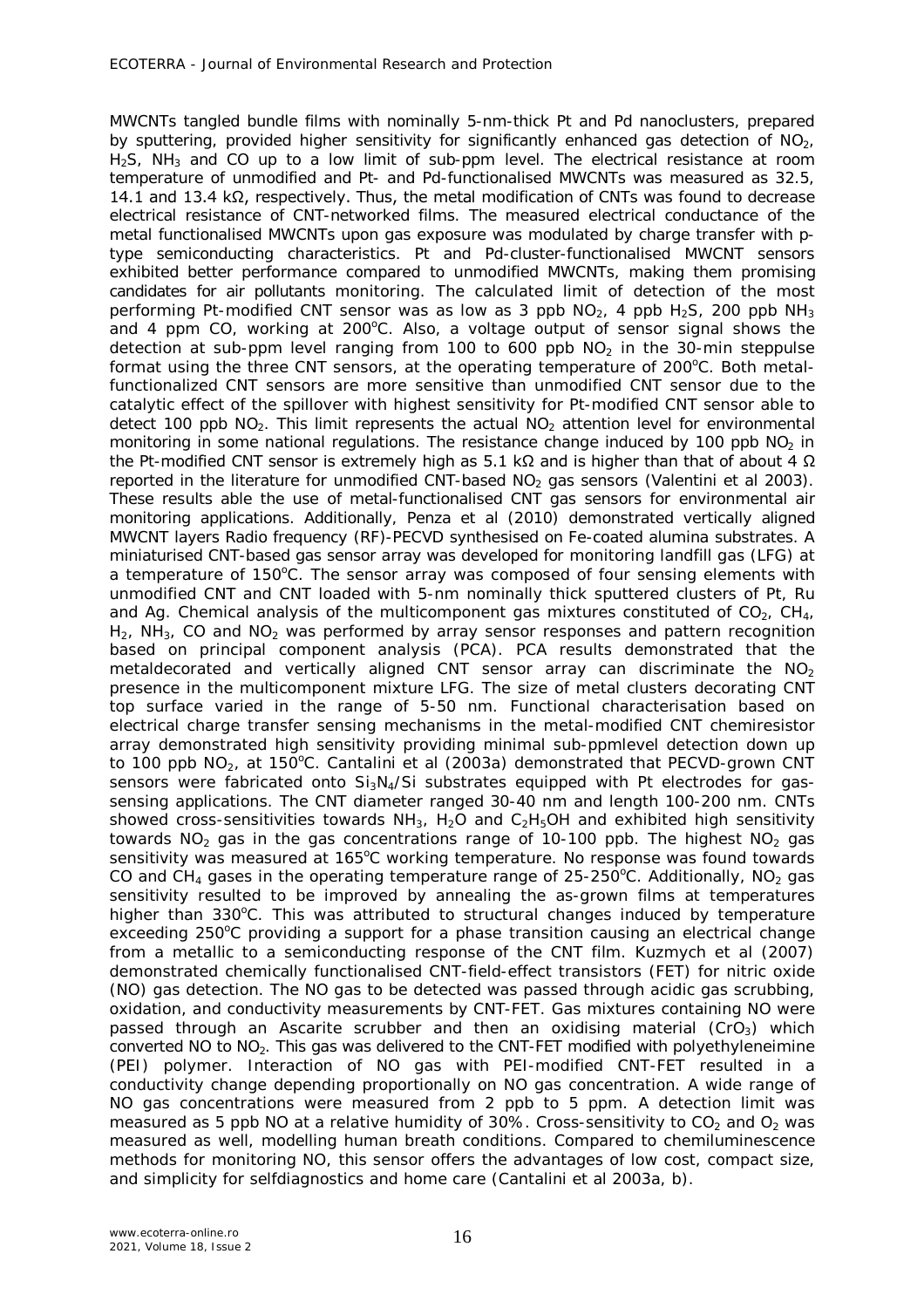MWCNTs tangled bundle films with nominally 5-nm-thick Pt and Pd nanoclusters, prepared by sputtering, provided higher sensitivity for significantly enhanced gas detection of  $NO<sub>2</sub>$ ,  $H<sub>2</sub>S$ , NH<sub>3</sub> and CO up to a low limit of sub-ppm level. The electrical resistance at room temperature of unmodified and Pt- and Pd-functionalised MWCNTs was measured as 32.5, 14.1 and 13.4 kΩ, respectively. Thus, the metal modification of CNTs was found to decrease electrical resistance of CNT-networked films. The measured electrical conductance of the metal functionalised MWCNTs upon gas exposure was modulated by charge transfer with ptype semiconducting characteristics. Pt and Pd-cluster-functionalised MWCNT sensors exhibited better performance compared to unmodified MWCNTs, making them promising candidates for air pollutants monitoring. The calculated limit of detection of the most performing Pt-modified CNT sensor was as low as 3 ppb  $NO<sub>2</sub>$ , 4 ppb  $H<sub>2</sub>S$ , 200 ppb  $NH<sub>3</sub>$ and 4 ppm CO, working at  $200^{\circ}$ C. Also, a voltage output of sensor signal shows the detection at sub-ppm level ranging from 100 to 600 ppb  $NO<sub>2</sub>$  in the 30-min steppulse format using the three CNT sensors, at the operating temperature of  $200^{\circ}$ C. Both metalfunctionalized CNT sensors are more sensitive than unmodified CNT sensor due to the catalytic effect of the spillover with highest sensitivity for Pt-modified CNT sensor able to detect 100 ppb  $NO<sub>2</sub>$ . This limit represents the actual  $NO<sub>2</sub>$  attention level for environmental monitoring in some national regulations. The resistance change induced by 100 ppb  $NO<sub>2</sub>$  in the Pt-modified CNT sensor is extremely high as 5.1 kΩ and is higher than that of about 4  $Ω$ reported in the literature for unmodified CNT-based  $NO<sub>2</sub>$  gas sensors (Valentini et al 2003). These results able the use of metal-functionalised CNT gas sensors for environmental air monitoring applications. Additionally, Penza et al (2010) demonstrated vertically aligned MWCNT layers Radio frequency (RF)-PECVD synthesised on Fe-coated alumina substrates. A miniaturised CNT-based gas sensor array was developed for monitoring landfill gas (LFG) at a temperature of  $150^{\circ}$ C. The sensor array was composed of four sensing elements with unmodified CNT and CNT loaded with 5-nm nominally thick sputtered clusters of Pt, Ru and Ag. Chemical analysis of the multicomponent gas mixtures constituted of  $CO<sub>2</sub>$ ,  $CH<sub>4</sub>$ ,  $H_2$ , NH<sub>3</sub>, CO and NO<sub>2</sub> was performed by array sensor responses and pattern recognition based on principal component analysis (PCA). PCA results demonstrated that the metaldecorated and vertically aligned CNT sensor array can discriminate the  $NO<sub>2</sub>$ presence in the multicomponent mixture LFG. The size of metal clusters decorating CNT top surface varied in the range of 5-50 nm. Functional characterisation based on electrical charge transfer sensing mechanisms in the metal-modified CNT chemiresistor array demonstrated high sensitivity providing minimal sub-ppmlevel detection down up to 100 ppb  $NO<sub>2</sub>$ , at 150 $^{\circ}$ C. Cantalini et al (2003a) demonstrated that PECVD-grown CNT sensors were fabricated onto  $Si_3N_4/Si$  substrates equipped with Pt electrodes for gassensing applications. The CNT diameter ranged 30-40 nm and length 100-200 nm. CNTs showed cross-sensitivities towards  $NH_3$ , H<sub>2</sub>O and C<sub>2</sub>H<sub>5</sub>OH and exhibited high sensitivity towards NO<sub>2</sub> gas in the gas concentrations range of 10-100 ppb. The highest NO<sub>2</sub> gas sensitivity was measured at 165°C working temperature. No response was found towards CO and CH<sub>4</sub> gases in the operating temperature range of 25-250<sup>o</sup>C. Additionally, NO<sub>2</sub> gas sensitivity resulted to be improved by annealing the as-grown films at temperatures higher than  $330^{\circ}$ C. This was attributed to structural changes induced by temperature exceeding  $250^{\circ}$ C providing a support for a phase transition causing an electrical change from a metallic to a semiconducting response of the CNT film. Kuzmych et al (2007) demonstrated chemically functionalised CNT-field-effect transistors (FET) for nitric oxide (NO) gas detection. The NO gas to be detected was passed through acidic gas scrubbing, oxidation, and conductivity measurements by CNT-FET. Gas mixtures containing NO were passed through an Ascarite scrubber and then an oxidising material ( $CrO<sub>3</sub>$ ) which converted NO to NO2. This gas was delivered to the CNT-FET modified with polyethyleneimine (PEI) polymer. Interaction of NO gas with PEI-modified CNT-FET resulted in a conductivity change depending proportionally on NO gas concentration. A wide range of NO gas concentrations were measured from 2 ppb to 5 ppm. A detection limit was measured as 5 ppb NO at a relative humidity of 30%. Cross-sensitivity to  $CO<sub>2</sub>$  and  $O<sub>2</sub>$  was measured as well, modelling human breath conditions. Compared to chemiluminescence methods for monitoring NO, this sensor offers the advantages of low cost, compact size, and simplicity for selfdiagnostics and home care (Cantalini et al 2003a, b).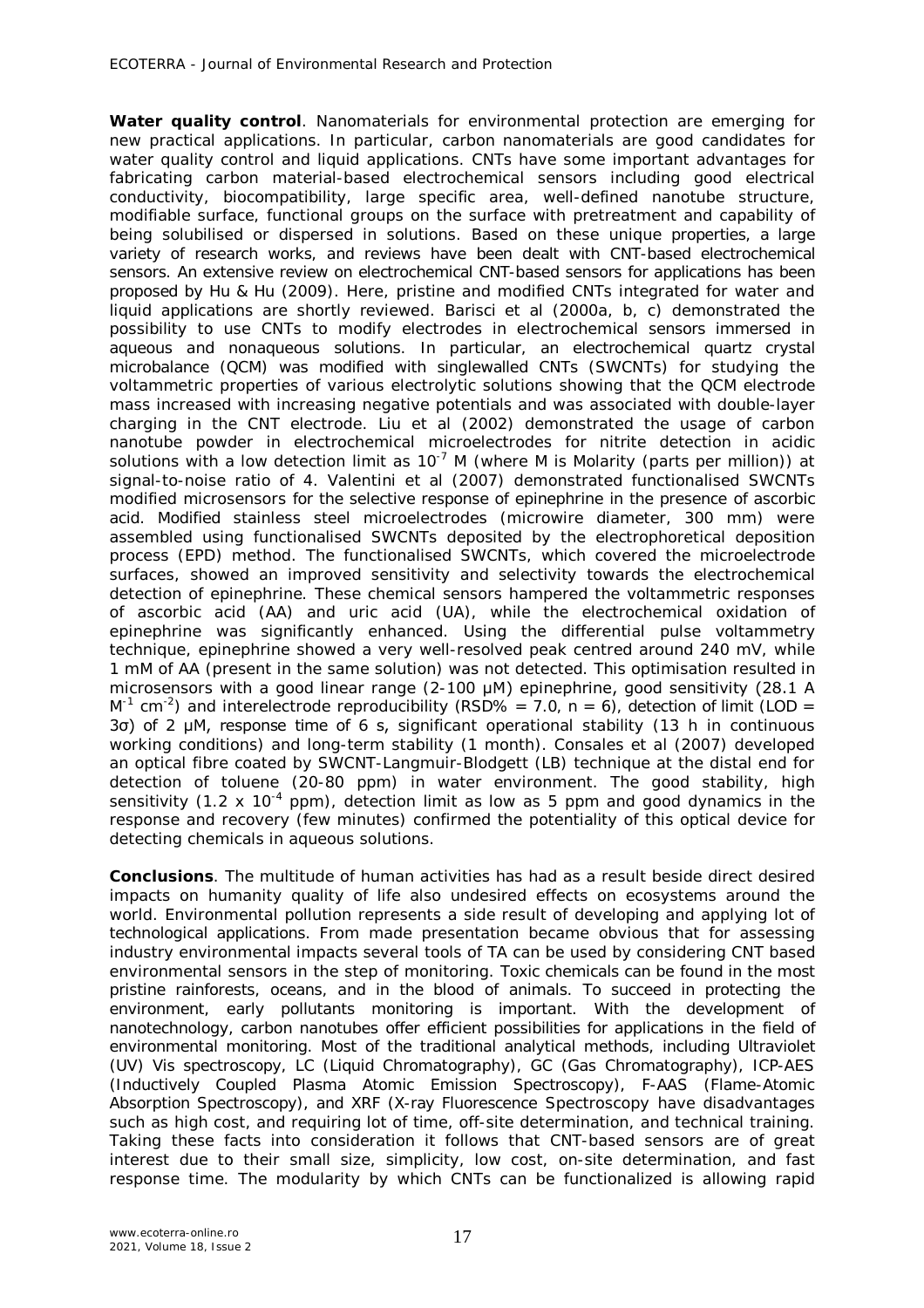*Water quality control.* Nanomaterials for environmental protection are emerging for new practical applications. In particular, carbon nanomaterials are good candidates for water quality control and liquid applications. CNTs have some important advantages for fabricating carbon material-based electrochemical sensors including good electrical conductivity, biocompatibility, large specific area, well-defined nanotube structure, modifiable surface, functional groups on the surface with pretreatment and capability of being solubilised or dispersed in solutions. Based on these unique properties, a large variety of research works, and reviews have been dealt with CNT-based electrochemical sensors. An extensive review on electrochemical CNT-based sensors for applications has been proposed by Hu & Hu (2009). Here, pristine and modified CNTs integrated for water and liquid applications are shortly reviewed. Barisci et al (2000a, b, c) demonstrated the possibility to use CNTs to modify electrodes in electrochemical sensors immersed in aqueous and nonaqueous solutions. In particular, an electrochemical quartz crystal microbalance (QCM) was modified with singlewalled CNTs (SWCNTs) for studying the voltammetric properties of various electrolytic solutions showing that the QCM electrode mass increased with increasing negative potentials and was associated with double-layer charging in the CNT electrode. Liu et al (2002) demonstrated the usage of carbon nanotube powder in electrochemical microelectrodes for nitrite detection in acidic solutions with a low detection limit as  $10^{-7}$  M (where M is Molarity (parts per million)) at signal-to-noise ratio of 4. Valentini et al (2007) demonstrated functionalised SWCNTs modified microsensors for the selective response of epinephrine in the presence of ascorbic acid. Modified stainless steel microelectrodes (microwire diameter, 300 mm) were assembled using functionalised SWCNTs deposited by the electrophoretical deposition process (EPD) method. The functionalised SWCNTs, which covered the microelectrode surfaces, showed an improved sensitivity and selectivity towards the electrochemical detection of epinephrine. These chemical sensors hampered the voltammetric responses of ascorbic acid (AA) and uric acid (UA), while the electrochemical oxidation of epinephrine was significantly enhanced. Using the differential pulse voltammetry technique, epinephrine showed a very well-resolved peak centred around 240 mV, while 1 mM of AA (present in the same solution) was not detected. This optimisation resulted in microsensors with a good linear range (2-100 μM) epinephrine, good sensitivity (28.1 A M<sup>-1</sup> cm<sup>-2</sup>) and interelectrode reproducibility (RSD% = 7.0, n = 6), detection of limit (LOD = 3σ) of 2 μM, response time of 6 s, significant operational stability (13 h in continuous working conditions) and long-term stability (1 month). Consales et al (2007) developed an optical fibre coated by SWCNT-Langmuir-Blodgett (LB) technique at the distal end for detection of toluene (20-80 ppm) in water environment. The good stability, high sensitivity (1.2 x 10<sup>-4</sup> ppm), detection limit as low as 5 ppm and good dynamics in the response and recovery (few minutes) confirmed the potentiality of this optical device for detecting chemicals in aqueous solutions.

**Conclusions**. The multitude of human activities has had as a result beside direct desired impacts on humanity quality of life also undesired effects on ecosystems around the world. Environmental pollution represents a side result of developing and applying lot of technological applications. From made presentation became obvious that for assessing industry environmental impacts several tools of TA can be used by considering CNT based environmental sensors in the step of monitoring. Toxic chemicals can be found in the most pristine rainforests, oceans, and in the blood of animals. To succeed in protecting the environment, early pollutants monitoring is important. With the development of nanotechnology, carbon nanotubes offer efficient possibilities for applications in the field of environmental monitoring. Most of the traditional analytical methods, including Ultraviolet (UV) Vis spectroscopy, LC (Liquid Chromatography), GC (Gas Chromatography), ICP-AES (Inductively Coupled Plasma Atomic Emission Spectroscopy), F-AAS (Flame-Atomic Absorption Spectroscopy), and XRF (X-ray Fluorescence Spectroscopy have disadvantages such as high cost, and requiring lot of time, off-site determination, and technical training. Taking these facts into consideration it follows that CNT-based sensors are of great interest due to their small size, simplicity, low cost, on-site determination, and fast response time. The modularity by which CNTs can be functionalized is allowing rapid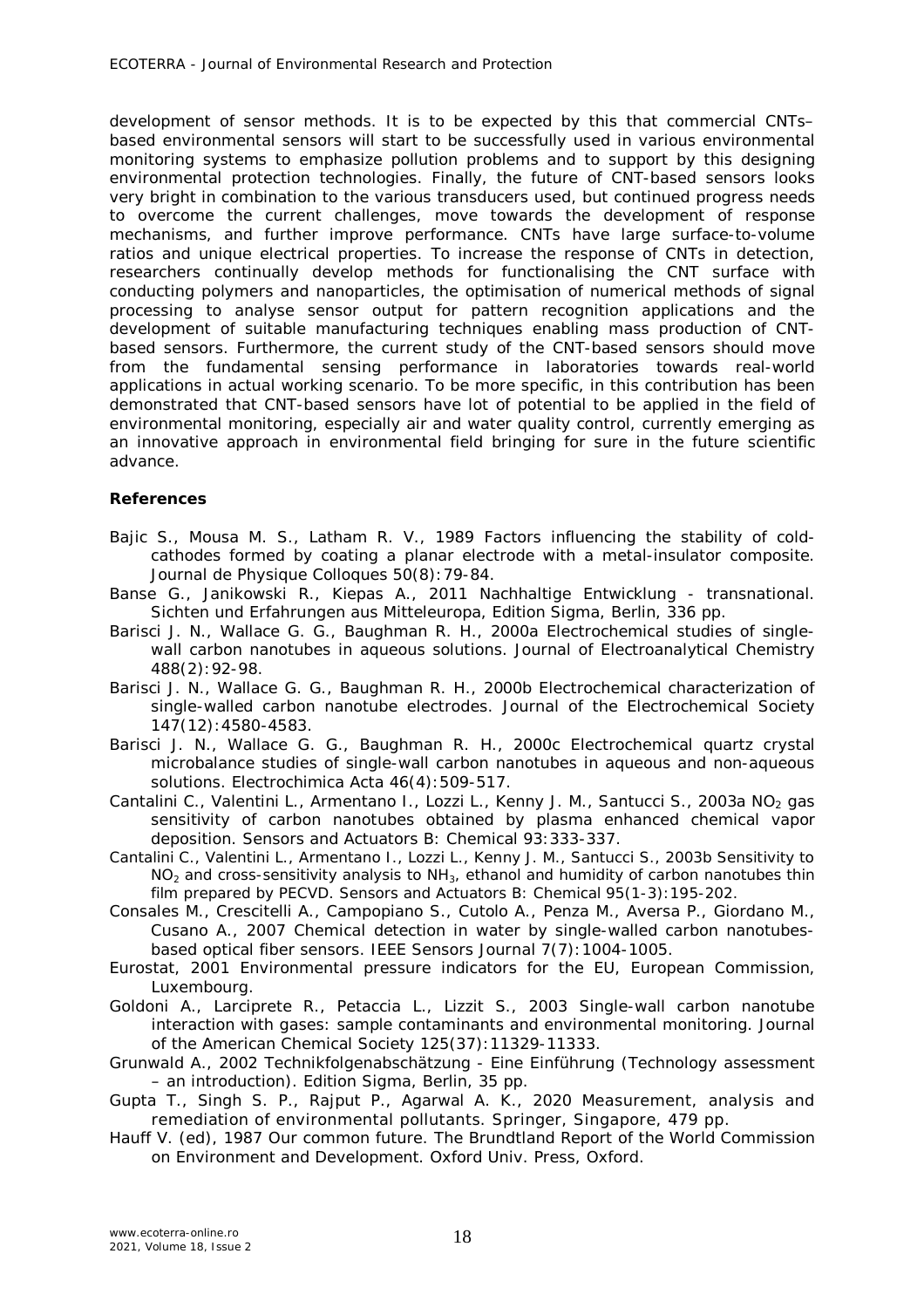development of sensor methods. It is to be expected by this that commercial CNTs– based environmental sensors will start to be successfully used in various environmental monitoring systems to emphasize pollution problems and to support by this designing environmental protection technologies. Finally, the future of CNT-based sensors looks very bright in combination to the various transducers used, but continued progress needs to overcome the current challenges, move towards the development of response mechanisms, and further improve performance. CNTs have large surface-to-volume ratios and unique electrical properties. To increase the response of CNTs in detection, researchers continually develop methods for functionalising the CNT surface with conducting polymers and nanoparticles, the optimisation of numerical methods of signal processing to analyse sensor output for pattern recognition applications and the development of suitable manufacturing techniques enabling mass production of CNTbased sensors. Furthermore, the current study of the CNT-based sensors should move from the fundamental sensing performance in laboratories towards real-world applications in actual working scenario. To be more specific, in this contribution has been demonstrated that CNT-based sensors have lot of potential to be applied in the field of environmental monitoring, especially air and water quality control, currently emerging as an innovative approach in environmental field bringing for sure in the future scientific advance.

## **References**

- Bajic S., Mousa M. S., Latham R. V., 1989 Factors influencing the stability of coldcathodes formed by coating a planar electrode with a metal-insulator composite. Journal de Physique Colloques 50(8):79-84.
- Banse G., Janikowski R., Kiepas A., 2011 Nachhaltige Entwicklung transnational. Sichten und Erfahrungen aus Mitteleuropa, Edition Sigma, Berlin, 336 pp.
- Barisci J. N., Wallace G. G., Baughman R. H., 2000a Electrochemical studies of singlewall carbon nanotubes in aqueous solutions. Journal of Electroanalytical Chemistry 488(2):92-98.
- Barisci J. N., Wallace G. G., Baughman R. H., 2000b Electrochemical characterization of single-walled carbon nanotube electrodes. Journal of the Electrochemical Society 147(12):4580-4583.
- Barisci J. N., Wallace G. G., Baughman R. H., 2000c Electrochemical quartz crystal microbalance studies of single-wall carbon nanotubes in aqueous and non-aqueous solutions. Electrochimica Acta 46(4):509-517.
- Cantalini C., Valentini L., Armentano I., Lozzi L., Kenny J. M., Santucci S., 2003a NO<sub>2</sub> gas sensitivity of carbon nanotubes obtained by plasma enhanced chemical vapor deposition. Sensors and Actuators B: Chemical 93:333-337.
- Cantalini C., Valentini L., Armentano I., Lozzi L., Kenny J. M., Santucci S., 2003b Sensitivity to  $NO<sub>2</sub>$  and cross-sensitivity analysis to  $NH<sub>3</sub>$ , ethanol and humidity of carbon nanotubes thin film prepared by PECVD. Sensors and Actuators B: Chemical 95(1-3):195-202.
- Consales M., Crescitelli A., Campopiano S., Cutolo A., Penza M., Aversa P., Giordano M., Cusano A., 2007 Chemical detection in water by single-walled carbon nanotubesbased optical fiber sensors. IEEE Sensors Journal 7(7):1004-1005.
- Eurostat, 2001 Environmental pressure indicators for the EU, European Commission, Luxembourg.
- Goldoni A., Larciprete R., Petaccia L., Lizzit S., 2003 Single-wall carbon nanotube interaction with gases: sample contaminants and environmental monitoring. Journal of the American Chemical Society 125(37):11329-11333.
- Grunwald A., 2002 Technikfolgenabschätzung Eine Einführung (Technology assessment – an introduction). Edition Sigma, Berlin, 35 pp.
- Gupta T., Singh S. P., Rajput P., Agarwal A. K., 2020 Measurement, analysis and remediation of environmental pollutants. Springer, Singapore, 479 pp.
- Hauff V. (ed), 1987 Our common future. The Brundtland Report of the World Commission on Environment and Development. Oxford Univ. Press, Oxford.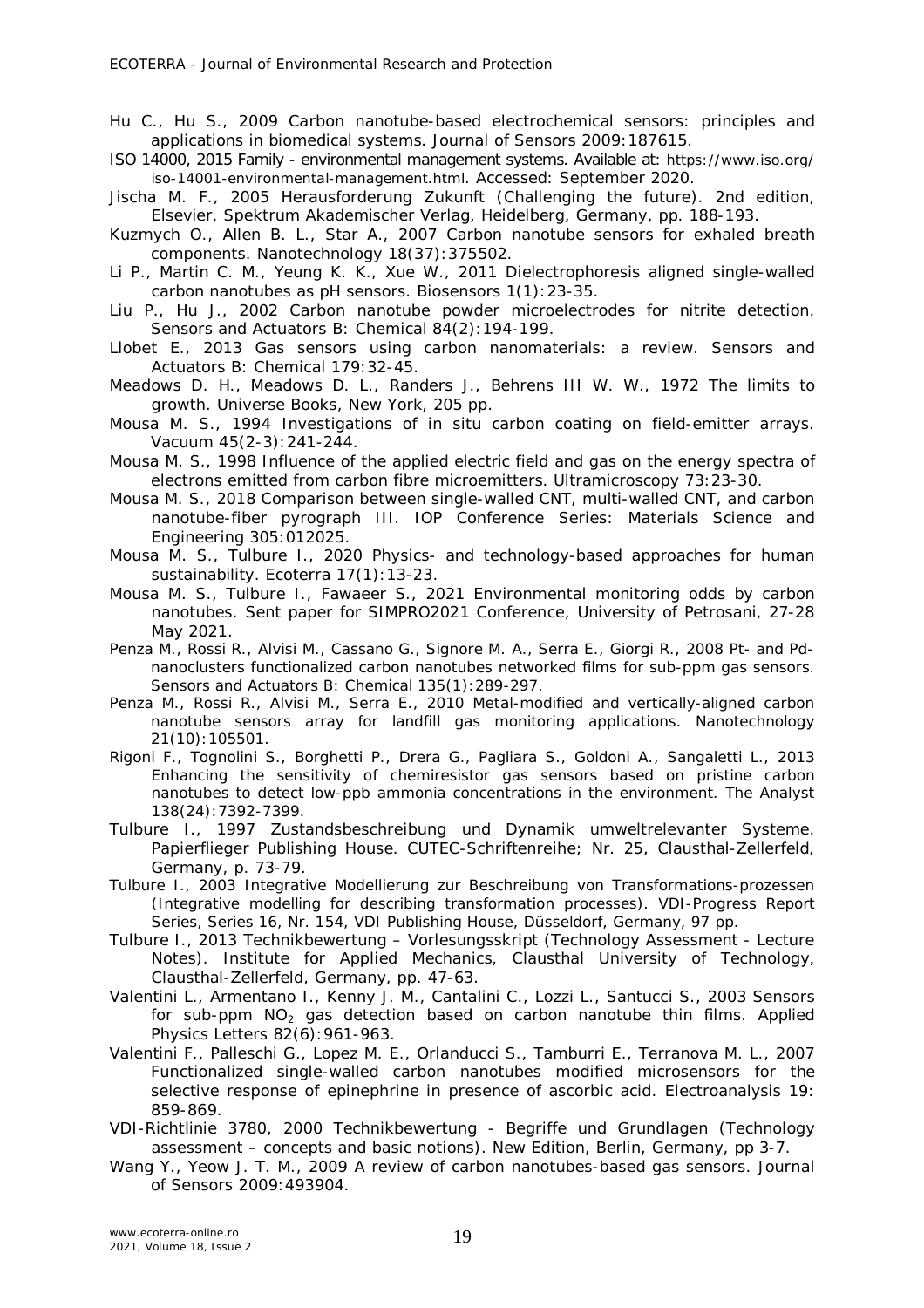- Hu C., Hu S., 2009 Carbon nanotube-based electrochemical sensors: principles and applications in biomedical systems. Journal of Sensors 2009:187615.
- ISO 14000, 2015 Family environmental management systems. Available at: https://www.iso.org/ iso-14001-environmental-management.html. Accessed: September 2020.
- Jischa M. F., 2005 Herausforderung Zukunft (Challenging the future). 2nd edition, Elsevier, Spektrum Akademischer Verlag, Heidelberg, Germany, pp. 188-193.
- Kuzmych O., Allen B. L., Star A., 2007 Carbon nanotube sensors for exhaled breath components. Nanotechnology 18(37):375502.
- Li P., Martin C. M., Yeung K. K., Xue W., 2011 Dielectrophoresis aligned single-walled carbon nanotubes as pH sensors. Biosensors 1(1):23-35.
- Liu P., Hu J., 2002 Carbon nanotube powder microelectrodes for nitrite detection. Sensors and Actuators B: Chemical 84(2):194-199.
- Llobet E., 2013 Gas sensors using carbon nanomaterials: a review. Sensors and Actuators B: Chemical 179:32-45.
- Meadows D. H., Meadows D. L., Randers J., Behrens III W. W., 1972 The limits to growth. Universe Books, New York, 205 pp.
- Mousa M. S., 1994 Investigations of in situ carbon coating on field-emitter arrays. Vacuum 45(2-3):241-244.
- Mousa M. S., 1998 Influence of the applied electric field and gas on the energy spectra of electrons emitted from carbon fibre microemitters. Ultramicroscopy 73:23-30.
- Mousa M. S., 2018 Comparison between single-walled CNT, multi-walled CNT, and carbon nanotube-fiber pyrograph III. IOP Conference Series: Materials Science and Engineering 305:012025.
- Mousa M. S., Tulbure I., 2020 Physics- and technology-based approaches for human sustainability. Ecoterra 17(1): 13-23.
- Mousa M. S., Tulbure I., Fawaeer S., 2021 Environmental monitoring odds by carbon nanotubes. Sent paper for SIMPRO2021 Conference, University of Petrosani, 27-28 May 2021.
- Penza M., Rossi R., Alvisi M., Cassano G., Signore M. A., Serra E., Giorgi R., 2008 Pt- and Pdnanoclusters functionalized carbon nanotubes networked films for sub-ppm gas sensors. Sensors and Actuators B: Chemical 135(1):289-297.
- Penza M., Rossi R., Alvisi M., Serra E., 2010 Metal-modified and vertically-aligned carbon nanotube sensors array for landfill gas monitoring applications. Nanotechnology 21(10):105501.
- Rigoni F., Tognolini S., Borghetti P., Drera G., Pagliara S., Goldoni A., Sangaletti L., 2013 Enhancing the sensitivity of chemiresistor gas sensors based on pristine carbon nanotubes to detect low-ppb ammonia concentrations in the environment. The Analyst 138(24):7392-7399.
- Tulbure I., 1997 Zustandsbeschreibung und Dynamik umweltrelevanter Systeme. Papierflieger Publishing House. CUTEC-Schriftenreihe; Nr. 25, Clausthal-Zellerfeld, Germany, p. 73-79.
- Tulbure I., 2003 Integrative Modellierung zur Beschreibung von Transformations-prozessen (Integrative modelling for describing transformation processes). VDI-Progress Report Series, Series 16, Nr. 154, VDI Publishing House, Düsseldorf, Germany, 97 pp.
- Tulbure I., 2013 Technikbewertung Vorlesungsskript (Technology Assessment Lecture Notes). Institute for Applied Mechanics, Clausthal University of Technology, Clausthal-Zellerfeld, Germany, pp. 47-63.
- Valentini L., Armentano I., Kenny J. M., Cantalini C., Lozzi L., Santucci S., 2003 Sensors for sub-ppm  $NO<sub>2</sub>$  gas detection based on carbon nanotube thin films. Applied Physics Letters 82(6):961-963.
- Valentini F., Palleschi G., Lopez M. E., Orlanducci S., Tamburri E., Terranova M. L., 2007 Functionalized single-walled carbon nanotubes modified microsensors for the selective response of epinephrine in presence of ascorbic acid. Electroanalysis 19: 859-869.
- VDI-Richtlinie 3780, 2000 Technikbewertung Begriffe und Grundlagen (Technology assessment – concepts and basic notions). New Edition, Berlin, Germany, pp 3-7.
- Wang Y., Yeow J. T. M., 2009 A review of carbon nanotubes-based gas sensors. Journal of Sensors 2009:493904.